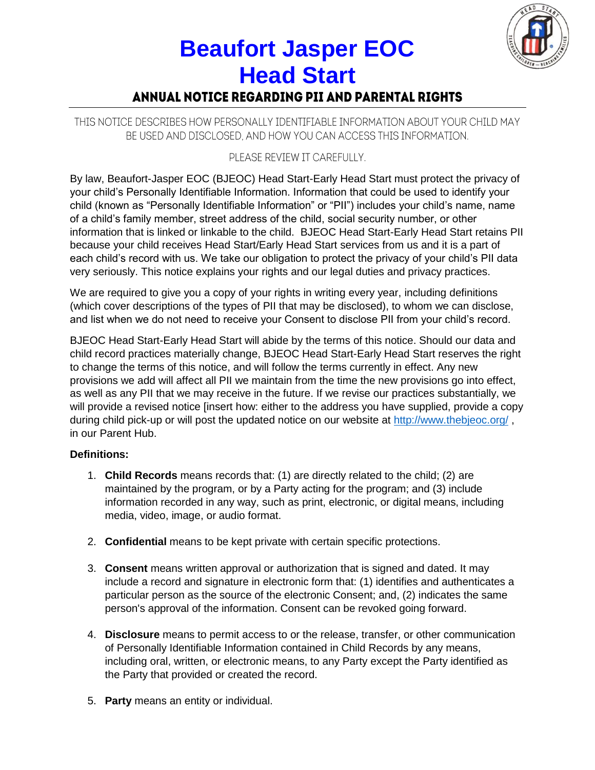# **Beaufort Jasper EOC Head Start ANNUAL NOTICE REGARDING PII AND PARENTAL RIGHTS**



THIS NOTICE DESCRIBES HOW PERSONALLY IDENTIFIABLE INFORMATION ABOUT YOUR CHILD MAY BE USED AND DISCLOSED. AND HOW YOU CAN ACCESS THIS INFORMATION.

# PLEASE REVIEW IT CAREFULLY.

By law, Beaufort-Jasper EOC (BJEOC) Head Start-Early Head Start must protect the privacy of your child's Personally Identifiable Information. Information that could be used to identify your child (known as "Personally Identifiable Information" or "PII") includes your child's name, name of a child's family member, street address of the child, social security number, or other information that is linked or linkable to the child. BJEOC Head Start-Early Head Start retains PII because your child receives Head Start/Early Head Start services from us and it is a part of each child's record with us. We take our obligation to protect the privacy of your child's PII data very seriously. This notice explains your rights and our legal duties and privacy practices.

We are required to give you a copy of your rights in writing every year, including definitions (which cover descriptions of the types of PII that may be disclosed), to whom we can disclose, and list when we do not need to receive your Consent to disclose PII from your child's record.

BJEOC Head Start-Early Head Start will abide by the terms of this notice. Should our data and child record practices materially change, BJEOC Head Start-Early Head Start reserves the right to change the terms of this notice, and will follow the terms currently in effect. Any new provisions we add will affect all PII we maintain from the time the new provisions go into effect, as well as any PII that we may receive in the future. If we revise our practices substantially, we will provide a revised notice [insert how: either to the address you have supplied, provide a copy during child pick-up or will post the updated notice on our website at<http://www.thebjeoc.org/>, in our Parent Hub.

# **Definitions:**

- 1. **Child Records** means records that: (1) are directly related to the child; (2) are maintained by the program, or by a Party acting for the program; and (3) include information recorded in any way, such as print, electronic, or digital means, including media, video, image, or audio format.
- 2. **Confidential** means to be kept private with certain specific protections.
- 3. **Consent** means written approval or authorization that is signed and dated. It may include a record and signature in electronic form that: (1) identifies and authenticates a particular person as the source of the electronic Consent; and, (2) indicates the same person's approval of the information. Consent can be revoked going forward.
- 4. **Disclosure** means to permit access to or the release, transfer, or other communication of Personally Identifiable Information contained in Child Records by any means, including oral, written, or electronic means, to any Party except the Party identified as the Party that provided or created the record.
- 5. **Party** means an entity or individual.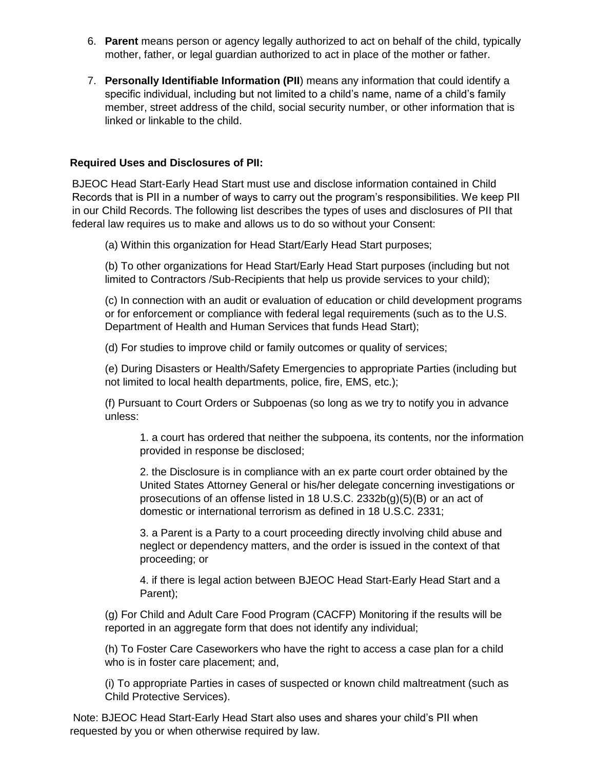- 6. **Parent** means person or agency legally authorized to act on behalf of the child, typically mother, father, or legal guardian authorized to act in place of the mother or father.
- 7. **Personally Identifiable Information (PII**) means any information that could identify a specific individual, including but not limited to a child's name, name of a child's family member, street address of the child, social security number, or other information that is linked or linkable to the child.

### **Required Uses and Disclosures of PII:**

BJEOC Head Start-Early Head Start must use and disclose information contained in Child Records that is PII in a number of ways to carry out the program's responsibilities. We keep PII in our Child Records. The following list describes the types of uses and disclosures of PII that federal law requires us to make and allows us to do so without your Consent:

(a) Within this organization for Head Start/Early Head Start purposes;

(b) To other organizations for Head Start/Early Head Start purposes (including but not limited to Contractors /Sub-Recipients that help us provide services to your child);

(c) In connection with an audit or evaluation of education or child development programs or for enforcement or compliance with federal legal requirements (such as to the U.S. Department of Health and Human Services that funds Head Start);

(d) For studies to improve child or family outcomes or quality of services;

(e) During Disasters or Health/Safety Emergencies to appropriate Parties (including but not limited to local health departments, police, fire, EMS, etc.);

(f) Pursuant to Court Orders or Subpoenas (so long as we try to notify you in advance unless:

1. a court has ordered that neither the subpoena, its contents, nor the information provided in response be disclosed;

2. the Disclosure is in compliance with an ex parte court order obtained by the United States Attorney General or his/her delegate concerning investigations or prosecutions of an offense listed in 18 U.S.C. 2332b(g)(5)(B) or an act of domestic or international terrorism as defined in 18 U.S.C. 2331;

3. a Parent is a Party to a court proceeding directly involving child abuse and neglect or dependency matters, and the order is issued in the context of that proceeding; or

4. if there is legal action between BJEOC Head Start-Early Head Start and a Parent);

(g) For Child and Adult Care Food Program (CACFP) Monitoring if the results will be reported in an aggregate form that does not identify any individual;

(h) To Foster Care Caseworkers who have the right to access a case plan for a child who is in foster care placement; and,

(i) To appropriate Parties in cases of suspected or known child maltreatment (such as Child Protective Services).

Note: BJEOC Head Start-Early Head Start also uses and shares your child's PII when requested by you or when otherwise required by law.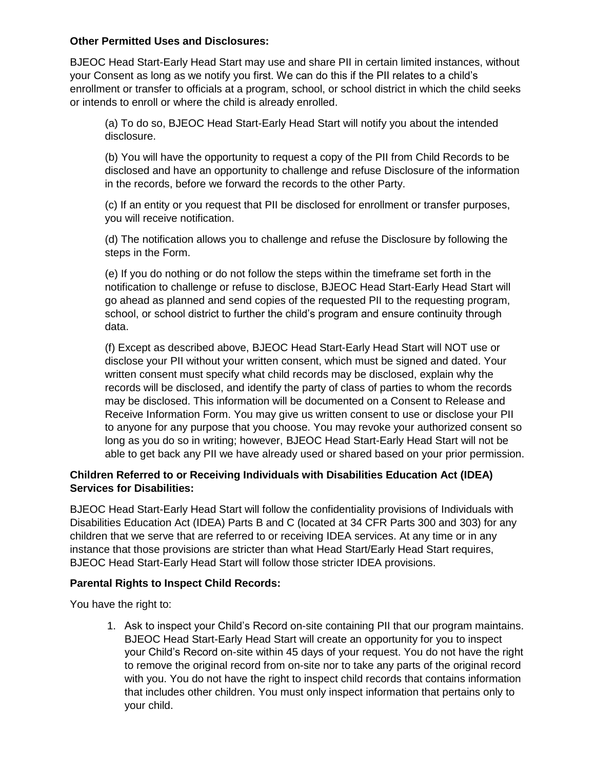#### **Other Permitted Uses and Disclosures:**

BJEOC Head Start-Early Head Start may use and share PII in certain limited instances, without your Consent as long as we notify you first. We can do this if the PII relates to a child's enrollment or transfer to officials at a program, school, or school district in which the child seeks or intends to enroll or where the child is already enrolled.

(a) To do so, BJEOC Head Start-Early Head Start will notify you about the intended disclosure.

(b) You will have the opportunity to request a copy of the PII from Child Records to be disclosed and have an opportunity to challenge and refuse Disclosure of the information in the records, before we forward the records to the other Party.

(c) If an entity or you request that PII be disclosed for enrollment or transfer purposes, you will receive notification.

(d) The notification allows you to challenge and refuse the Disclosure by following the steps in the Form.

(e) If you do nothing or do not follow the steps within the timeframe set forth in the notification to challenge or refuse to disclose, BJEOC Head Start-Early Head Start will go ahead as planned and send copies of the requested PII to the requesting program, school, or school district to further the child's program and ensure continuity through data.

(f) Except as described above, BJEOC Head Start-Early Head Start will NOT use or disclose your PII without your written consent, which must be signed and dated. Your written consent must specify what child records may be disclosed, explain why the records will be disclosed, and identify the party of class of parties to whom the records may be disclosed. This information will be documented on a Consent to Release and Receive Information Form. You may give us written consent to use or disclose your PII to anyone for any purpose that you choose. You may revoke your authorized consent so long as you do so in writing; however, BJEOC Head Start-Early Head Start will not be able to get back any PII we have already used or shared based on your prior permission.

## **Children Referred to or Receiving Individuals with Disabilities Education Act (IDEA) Services for Disabilities:**

BJEOC Head Start-Early Head Start will follow the confidentiality provisions of Individuals with Disabilities Education Act (IDEA) Parts B and C (located at 34 CFR Parts 300 and 303) for any children that we serve that are referred to or receiving IDEA services. At any time or in any instance that those provisions are stricter than what Head Start/Early Head Start requires, BJEOC Head Start-Early Head Start will follow those stricter IDEA provisions.

#### **Parental Rights to Inspect Child Records:**

You have the right to:

1. Ask to inspect your Child's Record on-site containing PII that our program maintains. BJEOC Head Start-Early Head Start will create an opportunity for you to inspect your Child's Record on-site within 45 days of your request. You do not have the right to remove the original record from on-site nor to take any parts of the original record with you. You do not have the right to inspect child records that contains information that includes other children. You must only inspect information that pertains only to your child.